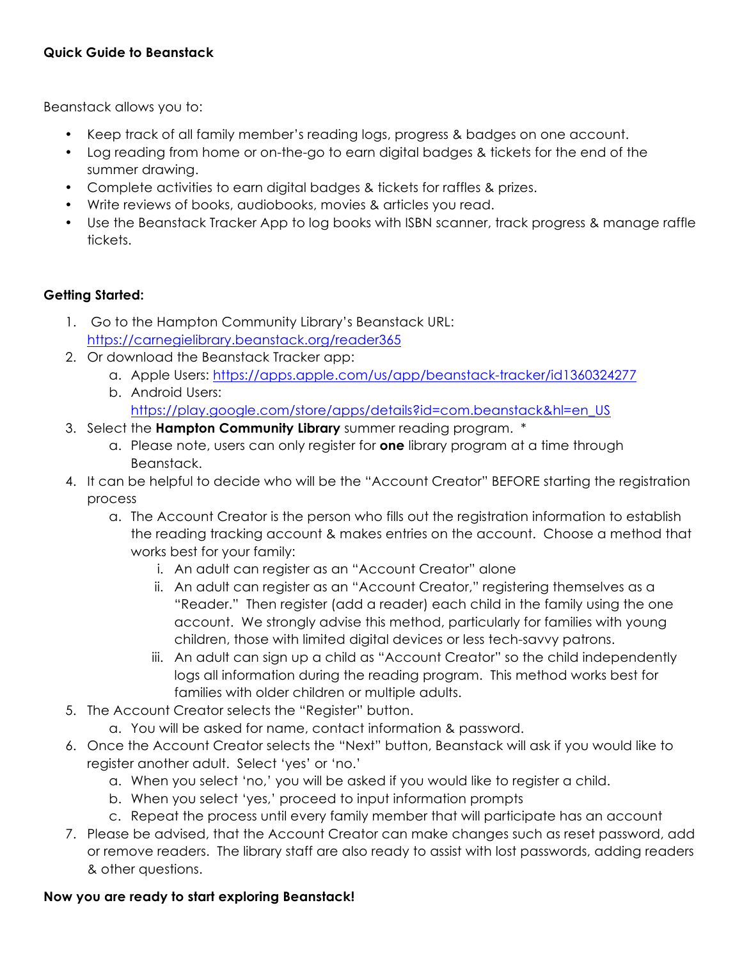## **Quick Guide to Beanstack**

Beanstack allows you to:

- Keep track of all family member's reading logs, progress & badges on one account.
- Log reading from home or on-the-go to earn digital badges & tickets for the end of the summer drawing.
- Complete activities to earn digital badges & tickets for raffles & prizes.
- Write reviews of books, audiobooks, movies & articles you read.
- Use the Beanstack Tracker App to log books with ISBN scanner, track progress & manage raffle tickets.

## **Getting Started:**

- 1. Go to the Hampton Community Library's Beanstack URL: https://carnegielibrary.beanstack.org/reader365
- 2. Or download the Beanstack Tracker app:
	- a. Apple Users: https://apps.apple.com/us/app/beanstack-tracker/id1360324277
	- b. Android Users: https://play.google.com/store/apps/details?id=com.beanstack&hl=en\_US
- 3. Select the **Hampton Community Library** summer reading program. \*
	- a. Please note, users can only register for **one** library program at a time through Beanstack.
- 4. It can be helpful to decide who will be the "Account Creator" BEFORE starting the registration process
	- a. The Account Creator is the person who fills out the registration information to establish the reading tracking account & makes entries on the account. Choose a method that works best for your family:
		- i. An adult can register as an "Account Creator" alone
		- ii. An adult can register as an "Account Creator," registering themselves as a "Reader." Then register (add a reader) each child in the family using the one account. We strongly advise this method, particularly for families with young children, those with limited digital devices or less tech-savvy patrons.
		- iii. An adult can sign up a child as "Account Creator" so the child independently logs all information during the reading program. This method works best for families with older children or multiple adults.
- 5. The Account Creator selects the "Register" button.
	- a. You will be asked for name, contact information & password.
- 6. Once the Account Creator selects the "Next" button, Beanstack will ask if you would like to register another adult. Select 'yes' or 'no.'
	- a. When you select 'no,' you will be asked if you would like to register a child.
	- b. When you select 'yes,' proceed to input information prompts
	- c. Repeat the process until every family member that will participate has an account
- 7. Please be advised, that the Account Creator can make changes such as reset password, add or remove readers. The library staff are also ready to assist with lost passwords, adding readers & other questions.

## **Now you are ready to start exploring Beanstack!**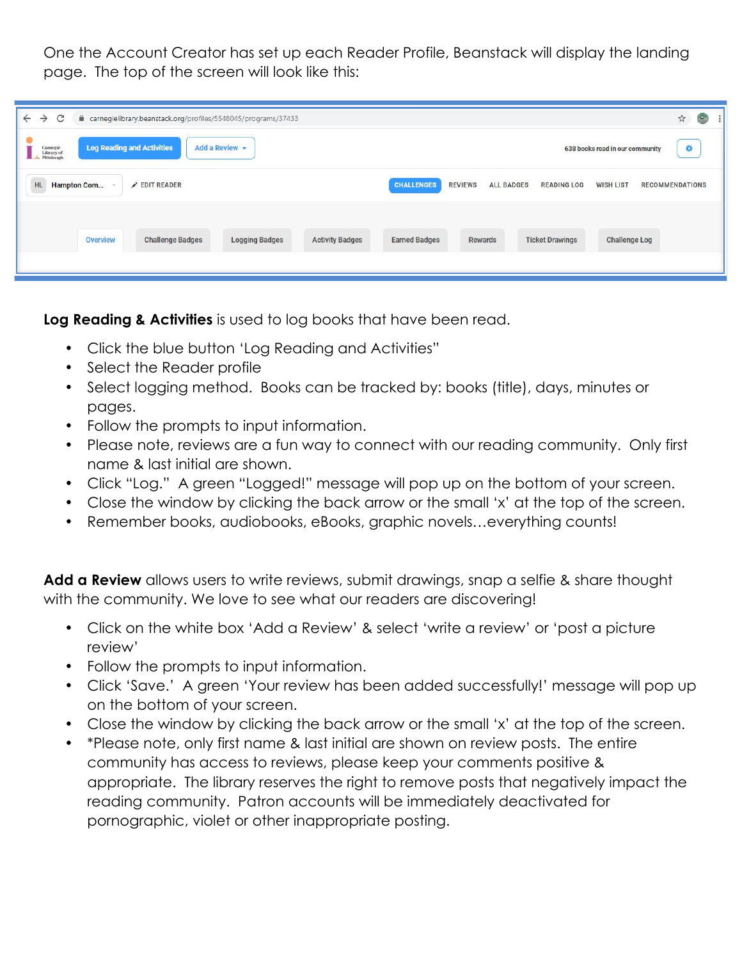One the Account Creator has set up each Reader Profile, Beanstack will display the landing page. The top of the screen will look like this:

| C<br>$\leftarrow$<br>e carnegielibrary.beanstack.org/profiles/5548045/programs/37433<br>$\rightarrow$ | $\mathbb{R}$<br>$\circ$<br>☆                                                                                                 |
|-------------------------------------------------------------------------------------------------------|------------------------------------------------------------------------------------------------------------------------------|
| <b>Log Reading and Activities</b><br>Add a Review -<br>Carnegie<br>Library of<br>Pittsburgh           | 拳<br>638 books read in our community                                                                                         |
| <b>HL</b><br><b>Hampton Com</b><br>EDIT READER                                                        | <b>CHALLENGES</b><br><b>REVIEWS</b><br><b>ALL BADGES</b><br><b>READING LOG</b><br><b>WISH LIST</b><br><b>RECOMMENDATIONS</b> |
|                                                                                                       |                                                                                                                              |
| <b>Challenge Badges</b><br><b>Logging Badges</b><br><b>Activity Badges</b><br><b>Overview</b>         | <b>Earned Badges</b><br><b>Ticket Drawings</b><br><b>Challenge Log</b><br>Rewards                                            |
|                                                                                                       |                                                                                                                              |

**Log Reading & Activities** is used to log books that have been read.

- Click the blue button 'Log Reading and Activities"
- Select the Reader profile
- Select logging method. Books can be tracked by: books (title), days, minutes or pages.
- Follow the prompts to input information.
- Please note, reviews are a fun way to connect with our reading community. Only first name & last initial are shown.
- Click "Log." A green "Logged!" message will pop up on the bottom of your screen.
- Close the window by clicking the back arrow or the small 'x' at the top of the screen.
- Remember books, audiobooks, eBooks, graphic novels…everything counts!

**Add a Review** allows users to write reviews, submit drawings, snap a selfie & share thought with the community. We love to see what our readers are discovering!

- Click on the white box 'Add a Review' & select 'write a review' or 'post a picture review'
- Follow the prompts to input information.
- Click 'Save.' A green 'Your review has been added successfully!' message will pop up on the bottom of your screen.
- Close the window by clicking the back arrow or the small 'x' at the top of the screen.
- \*Please note, only first name & last initial are shown on review posts. The entire community has access to reviews, please keep your comments positive & appropriate. The library reserves the right to remove posts that negatively impact the reading community. Patron accounts will be immediately deactivated for pornographic, violet or other inappropriate posting.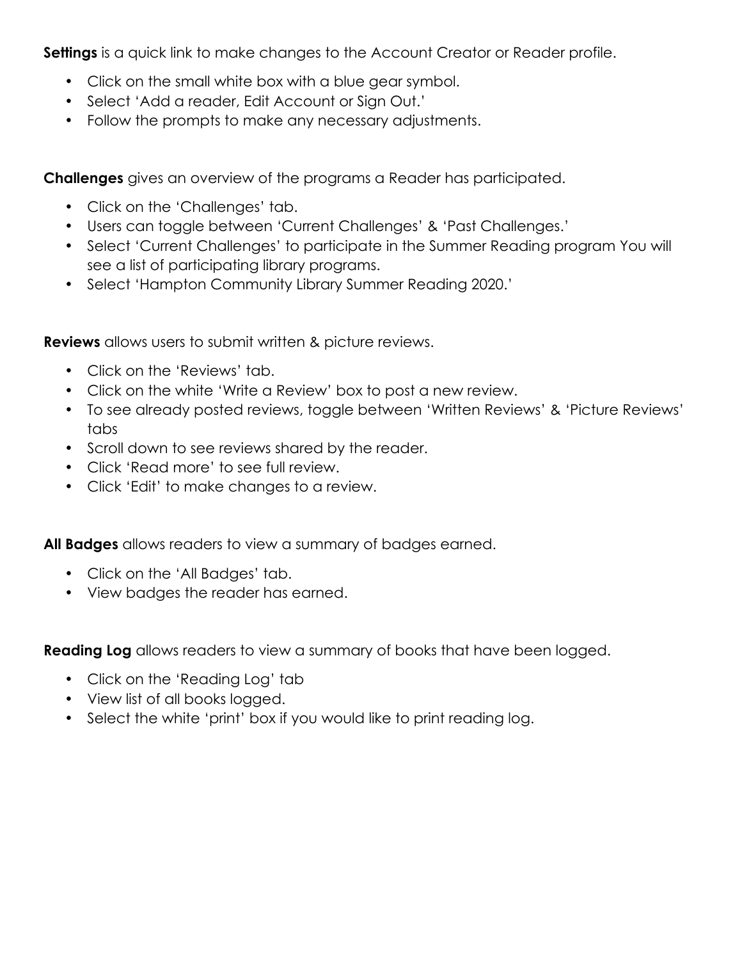**Settings** is a quick link to make changes to the Account Creator or Reader profile.

- Click on the small white box with a blue gear symbol.
- Select 'Add a reader, Edit Account or Sign Out.'
- Follow the prompts to make any necessary adjustments.

**Challenges** gives an overview of the programs a Reader has participated.

- Click on the 'Challenges' tab.
- Users can toggle between 'Current Challenges' & 'Past Challenges.'
- Select 'Current Challenges' to participate in the Summer Reading program You will see a list of participating library programs.
- Select 'Hampton Community Library Summer Reading 2020.'

**Reviews** allows users to submit written & picture reviews.

- Click on the 'Reviews' tab.
- Click on the white 'Write a Review' box to post a new review.
- To see already posted reviews, toggle between 'Written Reviews' & 'Picture Reviews' tabs
- Scroll down to see reviews shared by the reader.
- Click 'Read more' to see full review.
- Click 'Edit' to make changes to a review.

**All Badges** allows readers to view a summary of badges earned.

- Click on the 'All Badges' tab.
- View badges the reader has earned.

**Reading Log** allows readers to view a summary of books that have been logged.

- Click on the 'Reading Log' tab
- View list of all books logged.
- Select the white 'print' box if you would like to print reading log.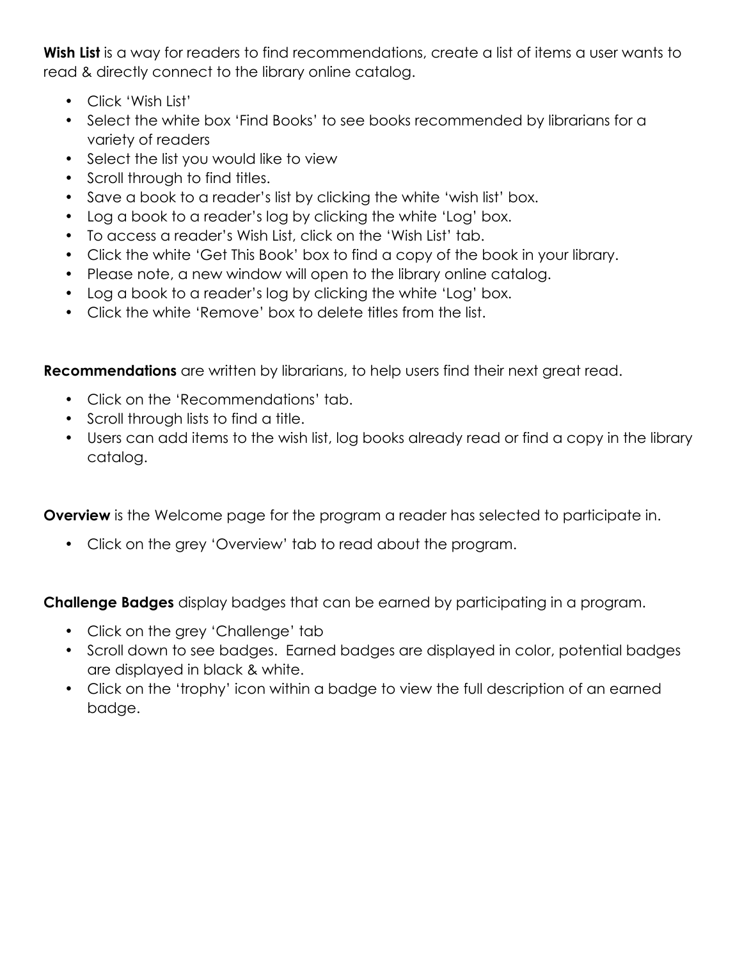Wish List is a way for readers to find recommendations, create a list of items a user wants to read & directly connect to the library online catalog.

- Click 'Wish List'
- Select the white box 'Find Books' to see books recommended by librarians for a variety of readers
- Select the list you would like to view
- Scroll through to find titles.
- Save a book to a reader's list by clicking the white 'wish list' box.
- Log a book to a reader's log by clicking the white 'Log' box.
- To access a reader's Wish List, click on the 'Wish List' tab.
- Click the white 'Get This Book' box to find a copy of the book in your library.
- Please note, a new window will open to the library online catalog.
- Log a book to a reader's log by clicking the white 'Log' box.
- Click the white 'Remove' box to delete titles from the list.

**Recommendations** are written by librarians, to help users find their next great read.

- Click on the 'Recommendations' tab.
- Scroll through lists to find a title.
- Users can add items to the wish list, log books already read or find a copy in the library catalog.

**Overview** is the Welcome page for the program a reader has selected to participate in.

• Click on the grey 'Overview' tab to read about the program.

**Challenge Badges** display badges that can be earned by participating in a program.

- Click on the grey 'Challenge' tab
- Scroll down to see badges. Earned badges are displayed in color, potential badges are displayed in black & white.
- Click on the 'trophy' icon within a badge to view the full description of an earned badge.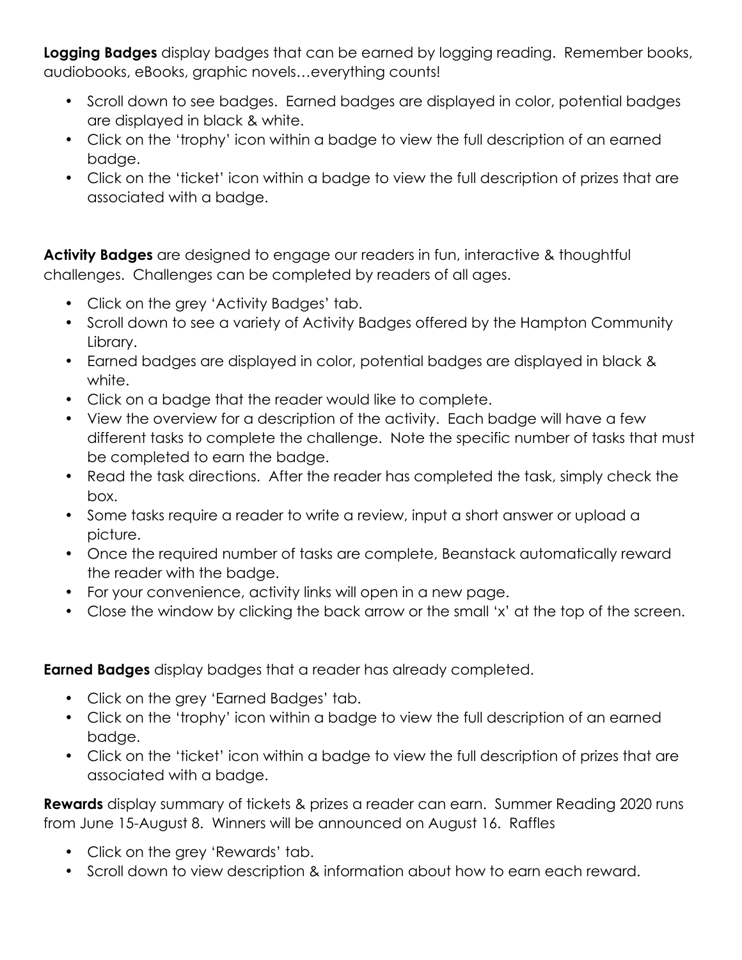**Logging Badges** display badges that can be earned by logging reading. Remember books, audiobooks, eBooks, graphic novels…everything counts!

- Scroll down to see badges. Earned badges are displayed in color, potential badges are displayed in black & white.
- Click on the 'trophy' icon within a badge to view the full description of an earned badge.
- Click on the 'ticket' icon within a badge to view the full description of prizes that are associated with a badge.

**Activity Badges** are designed to engage our readers in fun, interactive & thoughtful challenges. Challenges can be completed by readers of all ages.

- Click on the grey 'Activity Badges' tab.
- Scroll down to see a variety of Activity Badges offered by the Hampton Community Library.
- Earned badges are displayed in color, potential badges are displayed in black & white.
- Click on a badge that the reader would like to complete.
- View the overview for a description of the activity. Each badge will have a few different tasks to complete the challenge. Note the specific number of tasks that must be completed to earn the badge.
- Read the task directions. After the reader has completed the task, simply check the box.
- Some tasks require a reader to write a review, input a short answer or upload a picture.
- Once the required number of tasks are complete, Beanstack automatically reward the reader with the badge.
- For your convenience, activity links will open in a new page.
- Close the window by clicking the back arrow or the small 'x' at the top of the screen.

**Earned Badges** display badges that a reader has already completed.

- Click on the grey 'Earned Badges' tab.
- Click on the 'trophy' icon within a badge to view the full description of an earned badge.
- Click on the 'ticket' icon within a badge to view the full description of prizes that are associated with a badge.

**Rewards** display summary of tickets & prizes a reader can earn. Summer Reading 2020 runs from June 15-August 8. Winners will be announced on August 16. Raffles

- Click on the grey 'Rewards' tab.
- Scroll down to view description & information about how to earn each reward.